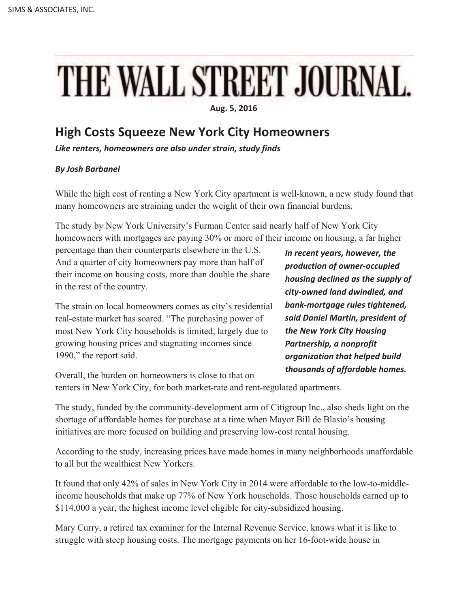## THE WALL STREET JOURNAL.

**Aug. 5, 2016**

## **High Costs Squeeze New York City Homeowners**

*Like renters, homeowners are also under strain, study finds*

## *By Josh Barbanel*

While the high cost of renting a New York City apartment is well-known, a new study found that many homeowners are straining under the weight of their own financial burdens.

The study by New York University's Furman Center said nearly half of New York City homeowners with mortgages are paying 30% or more of their income on housing, a far higher

percentage than their counterparts elsewhere in the U.S. And a quarter of city homeowners pay more than half of their income on housing costs, more than double the share in the rest of the country.

The strain on local homeowners comes as city's residential real-estate market has soared. "The purchasing power of most New York City households is limited, largely due to growing housing prices and stagnating incomes since 1990," the report said.

*In recent years, however, the production of owner-occupied housing declined as the supply of city-owned land dwindled, and bank-mortgage rules tightened, said Daniel Martin, president of the New York City Housing Partnership, a nonprofit organization that helped build thousands of affordable homes.*

Overall, the burden on homeowners is close to that on renters in New York City, for both market-rate and rent-regulated apartments.

The study, funded by the community-development arm of Citigroup Inc., also sheds light on the shortage of affordable homes for purchase at a time when Mayor Bill de Blasio's housing initiatives are more focused on building and preserving low-cost rental housing.

According to the study, increasing prices have made homes in many neighborhoods unaffordable to all but the wealthiest New Yorkers.

It found that only 42% of sales in New York City in 2014 were affordable to the low-to-middleincome households that make up 77% of New York households. Those households earned up to \$114,000 a year, the highest income level eligible for city-subsidized housing.

Mary Curry, a retired tax examiner for the Internal Revenue Service, knows what it is like to struggle with steep housing costs. The mortgage payments on her 16-foot-wide house in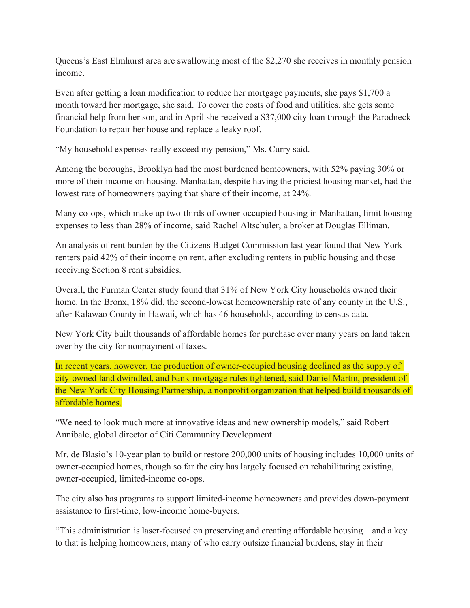Queens's East Elmhurst area are swallowing most of the \$2,270 she receives in monthly pension income.

Even after getting a loan modification to reduce her mortgage payments, she pays \$1,700 a month toward her mortgage, she said. To cover the costs of food and utilities, she gets some financial help from her son, and in April she received a \$37,000 city loan through the Parodneck Foundation to repair her house and replace a leaky roof.

"My household expenses really exceed my pension," Ms. Curry said.

Among the boroughs, Brooklyn had the most burdened homeowners, with 52% paying 30% or more of their income on housing. Manhattan, despite having the priciest housing market, had the lowest rate of homeowners paying that share of their income, at 24%.

Many co-ops, which make up two-thirds of owner-occupied housing in Manhattan, limit housing expenses to less than 28% of income, said Rachel Altschuler, a broker at Douglas Elliman.

An analysis of rent burden by the Citizens Budget Commission last year found that New York renters paid 42% of their income on rent, after excluding renters in public housing and those receiving Section 8 rent subsidies.

Overall, the Furman Center study found that 31% of New York City households owned their home. In the Bronx, 18% did, the second-lowest homeownership rate of any county in the U.S., after Kalawao County in Hawaii, which has 46 households, according to census data.

New York City built thousands of affordable homes for purchase over many years on land taken over by the city for nonpayment of taxes.

In recent years, however, the production of owner-occupied housing declined as the supply of city-owned land dwindled, and bank-mortgage rules tightened, said Daniel Martin, president of the New York City Housing Partnership, a nonprofit organization that helped build thousands of affordable homes.

"We need to look much more at innovative ideas and new ownership models," said Robert Annibale, global director of Citi Community Development.

Mr. de Blasio's 10-year plan to build or restore 200,000 units of housing includes 10,000 units of owner-occupied homes, though so far the city has largely focused on rehabilitating existing, owner-occupied, limited-income co-ops.

The city also has programs to support limited-income homeowners and provides down-payment assistance to first-time, low-income home-buyers.

"This administration is laser-focused on preserving and creating affordable housing—and a key to that is helping homeowners, many of who carry outsize financial burdens, stay in their